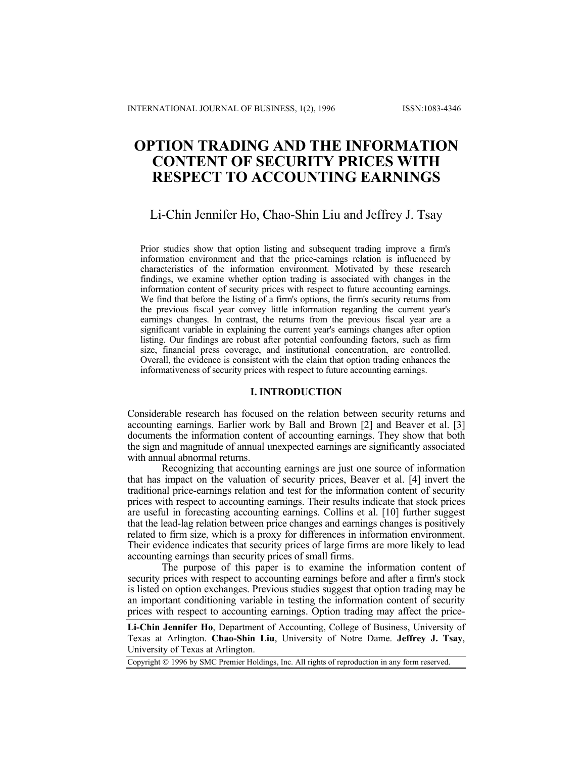# **OPTION TRADING AND THE INFORMATION CONTENT OF SECURITY PRICES WITH RESPECT TO ACCOUNTING EARNINGS**

# Li-Chin Jennifer Ho, Chao-Shin Liu and Jeffrey J. Tsay

Prior studies show that option listing and subsequent trading improve a firm's information environment and that the price-earnings relation is influenced by characteristics of the information environment. Motivated by these research findings, we examine whether option trading is associated with changes in the information content of security prices with respect to future accounting earnings. We find that before the listing of a firm's options, the firm's security returns from the previous fiscal year convey little information regarding the current year's earnings changes. In contrast, the returns from the previous fiscal year are a significant variable in explaining the current year's earnings changes after option listing. Our findings are robust after potential confounding factors, such as firm size, financial press coverage, and institutional concentration, are controlled. Overall, the evidence is consistent with the claim that option trading enhances the informativeness of security prices with respect to future accounting earnings.

# **I. INTRODUCTION**

Considerable research has focused on the relation between security returns and accounting earnings. Earlier work by Ball and Brown [2] and Beaver et al. [3] documents the information content of accounting earnings. They show that both the sign and magnitude of annual unexpected earnings are significantly associated with annual abnormal returns.

Recognizing that accounting earnings are just one source of information that has impact on the valuation of security prices, Beaver et al. [4] invert the traditional price-earnings relation and test for the information content of security prices with respect to accounting earnings. Their results indicate that stock prices are useful in forecasting accounting earnings. Collins et al. [10] further suggest that the lead-lag relation between price changes and earnings changes is positively related to firm size, which is a proxy for differences in information environment. Their evidence indicates that security prices of large firms are more likely to lead accounting earnings than security prices of small firms.

The purpose of this paper is to examine the information content of security prices with respect to accounting earnings before and after a firm's stock is listed on option exchanges. Previous studies suggest that option trading may be an important conditioning variable in testing the information content of security prices with respect to accounting earnings. Option trading may affect the price-

**Li-Chin Jennifer Ho**, Department of Accounting, College of Business, University of Texas at Arlington. **Chao-Shin Liu**, University of Notre Dame. **Jeffrey J. Tsay**, University of Texas at Arlington.

Copyright 1996 by SMC Premier Holdings, Inc. All rights of reproduction in any form reserved.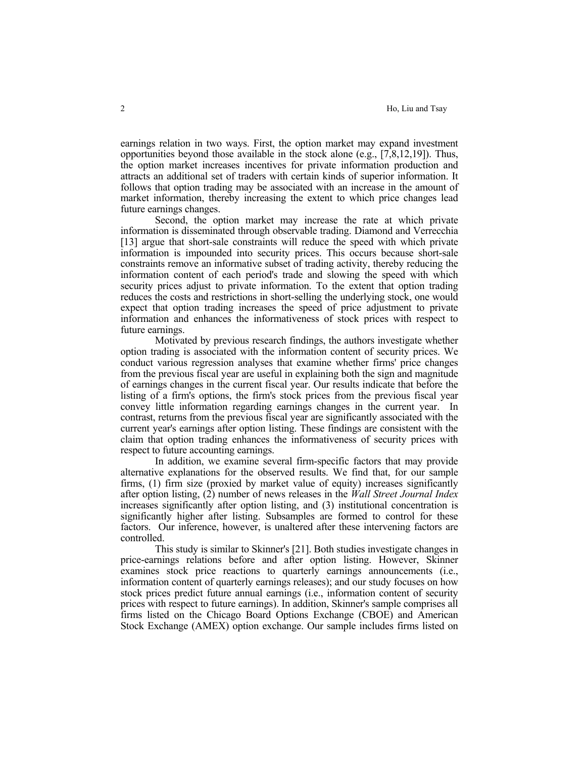earnings relation in two ways. First, the option market may expand investment opportunities beyond those available in the stock alone (e.g., [7,8,12,19]). Thus, the option market increases incentives for private information production and attracts an additional set of traders with certain kinds of superior information. It follows that option trading may be associated with an increase in the amount of market information, thereby increasing the extent to which price changes lead future earnings changes.

 Second, the option market may increase the rate at which private information is disseminated through observable trading. Diamond and Verrecchia [13] argue that short-sale constraints will reduce the speed with which private information is impounded into security prices. This occurs because short-sale constraints remove an informative subset of trading activity, thereby reducing the information content of each period's trade and slowing the speed with which security prices adjust to private information. To the extent that option trading reduces the costs and restrictions in short-selling the underlying stock, one would expect that option trading increases the speed of price adjustment to private information and enhances the informativeness of stock prices with respect to future earnings.

 Motivated by previous research findings, the authors investigate whether option trading is associated with the information content of security prices. We conduct various regression analyses that examine whether firms' price changes from the previous fiscal year are useful in explaining both the sign and magnitude of earnings changes in the current fiscal year. Our results indicate that before the listing of a firm's options, the firm's stock prices from the previous fiscal year convey little information regarding earnings changes in the current year. In contrast, returns from the previous fiscal year are significantly associated with the current year's earnings after option listing. These findings are consistent with the claim that option trading enhances the informativeness of security prices with respect to future accounting earnings.

 In addition, we examine several firm-specific factors that may provide alternative explanations for the observed results. We find that, for our sample firms, (1) firm size (proxied by market value of equity) increases significantly after option listing, (2) number of news releases in the *Wall Street Journal Index* increases significantly after option listing, and (3) institutional concentration is significantly higher after listing. Subsamples are formed to control for these factors. Our inference, however, is unaltered after these intervening factors are controlled.

 This study is similar to Skinner's [21]. Both studies investigate changes in price-earnings relations before and after option listing. However, Skinner examines stock price reactions to quarterly earnings announcements (i.e., information content of quarterly earnings releases); and our study focuses on how stock prices predict future annual earnings (i.e., information content of security prices with respect to future earnings). In addition, Skinner's sample comprises all firms listed on the Chicago Board Options Exchange (CBOE) and American Stock Exchange (AMEX) option exchange. Our sample includes firms listed on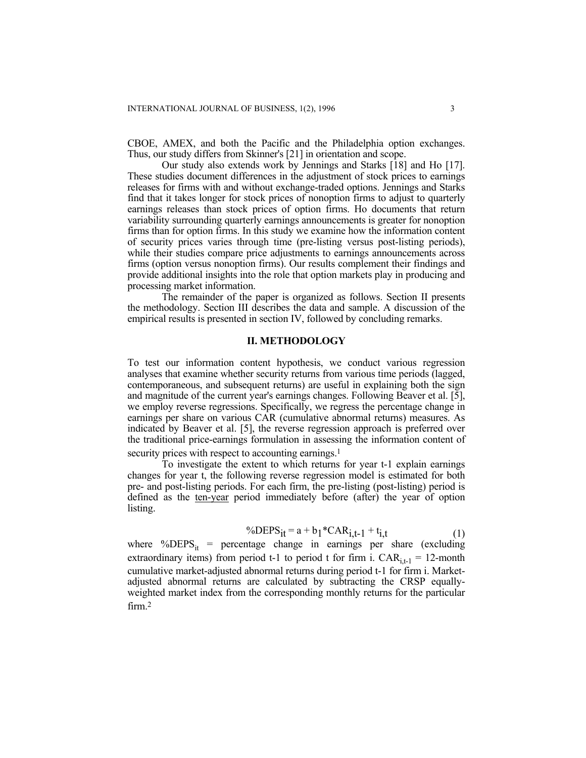CBOE, AMEX, and both the Pacific and the Philadelphia option exchanges. Thus, our study differs from Skinner's [21] in orientation and scope.

Our study also extends work by Jennings and Starks [18] and Ho [17]. These studies document differences in the adjustment of stock prices to earnings releases for firms with and without exchange-traded options. Jennings and Starks find that it takes longer for stock prices of nonoption firms to adjust to quarterly earnings releases than stock prices of option firms. Ho documents that return variability surrounding quarterly earnings announcements is greater for nonoption firms than for option firms. In this study we examine how the information content of security prices varies through time (pre-listing versus post-listing periods), while their studies compare price adjustments to earnings announcements across firms (option versus nonoption firms). Our results complement their findings and provide additional insights into the role that option markets play in producing and processing market information.

The remainder of the paper is organized as follows. Section II presents the methodology. Section III describes the data and sample. A discussion of the empirical results is presented in section IV, followed by concluding remarks.

# **II. METHODOLOGY**

To test our information content hypothesis, we conduct various regression analyses that examine whether security returns from various time periods (lagged, contemporaneous, and subsequent returns) are useful in explaining both the sign and magnitude of the current year's earnings changes. Following Beaver et al. [5], we employ reverse regressions. Specifically, we regress the percentage change in earnings per share on various CAR (cumulative abnormal returns) measures. As indicated by Beaver et al. [5], the reverse regression approach is preferred over the traditional price-earnings formulation in assessing the information content of security prices with respect to accounting earnings.<sup>1</sup>

To investigate the extent to which returns for year t-1 explain earnings changes for year t, the following reverse regression model is estimated for both pre- and post-listing periods. For each firm, the pre-listing (post-listing) period is defined as the ten-year period immediately before (after) the year of option listing.

$$
^{\circ}\!\!\sqrt{D}\text{EPS}_{it} = a + b_1 \, ^{\ast}\text{CAR}_{i,t-1} + t_{i,t} \tag{1}
$$

where %DEPS<sub>it</sub> = percentage change in earnings per share (excluding extraordinary items) from period t-1 to period t for firm i.  $CAR_{i,t-1} = 12$ -month cumulative market-adjusted abnormal returns during period t-1 for firm i. Marketadjusted abnormal returns are calculated by subtracting the CRSP equallyweighted market index from the corresponding monthly returns for the particular firm. 2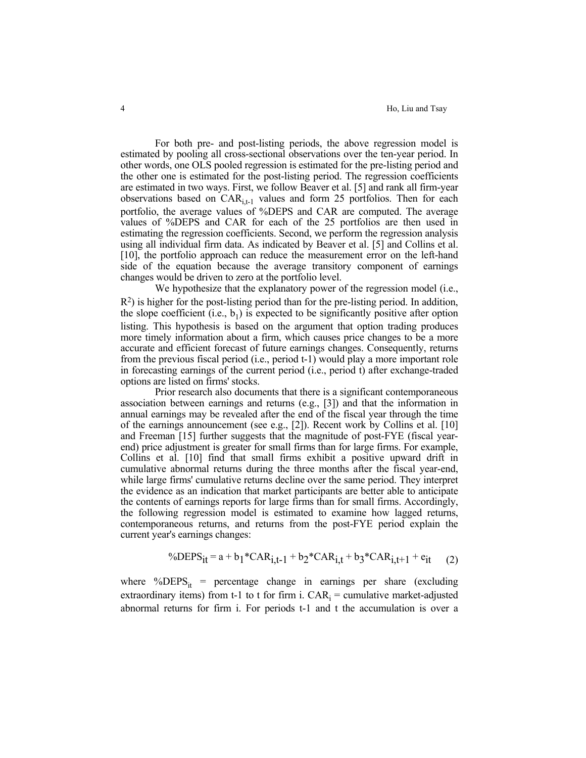For both pre- and post-listing periods, the above regression model is estimated by pooling all cross-sectional observations over the ten-year period. In other words, one OLS pooled regression is estimated for the pre-listing period and the other one is estimated for the post-listing period. The regression coefficients are estimated in two ways. First, we follow Beaver et al. [5] and rank all firm-year observations based on  $CAR_{i,t-1}$  values and form 25 portfolios. Then for each portfolio, the average values of %DEPS and CAR are computed. The average values of %DEPS and CAR for each of the 25 portfolios are then used in estimating the regression coefficients. Second, we perform the regression analysis using all individual firm data. As indicated by Beaver et al. [5] and Collins et al. [10], the portfolio approach can reduce the measurement error on the left-hand side of the equation because the average transitory component of earnings changes would be driven to zero at the portfolio level.

 We hypothesize that the explanatory power of the regression model (i.e.,  $R<sup>2</sup>$ ) is higher for the post-listing period than for the pre-listing period. In addition, the slope coefficient (i.e.,  $b_1$ ) is expected to be significantly positive after option listing. This hypothesis is based on the argument that option trading produces more timely information about a firm, which causes price changes to be a more accurate and efficient forecast of future earnings changes. Consequently, returns from the previous fiscal period (i.e., period t-1) would play a more important role in forecasting earnings of the current period (i.e., period t) after exchange-traded options are listed on firms' stocks.

 Prior research also documents that there is a significant contemporaneous association between earnings and returns (e.g., [3]) and that the information in annual earnings may be revealed after the end of the fiscal year through the time of the earnings announcement (see e.g., [2]). Recent work by Collins et al. [10] and Freeman [15] further suggests that the magnitude of post-FYE (fiscal yearend) price adjustment is greater for small firms than for large firms. For example, Collins et al. [10] find that small firms exhibit a positive upward drift in cumulative abnormal returns during the three months after the fiscal year-end, while large firms' cumulative returns decline over the same period. They interpret the evidence as an indication that market participants are better able to anticipate the contents of earnings reports for large firms than for small firms. Accordingly, the following regression model is estimated to examine how lagged returns, contemporaneous returns, and returns from the post-FYE period explain the current year's earnings changes:

$$
\% DEPS_{it} = a + b_1 * CAR_{i,t-1} + b_2 * CAR_{i,t} + b_3 * CAR_{i,t+1} + e_{it} \tag{2}
$$

where %DEPS<sub>it</sub> = percentage change in earnings per share (excluding extraordinary items) from t-1 to t for firm i.  $CAR_i =$  cumulative market-adjusted abnormal returns for firm i. For periods t-1 and t the accumulation is over a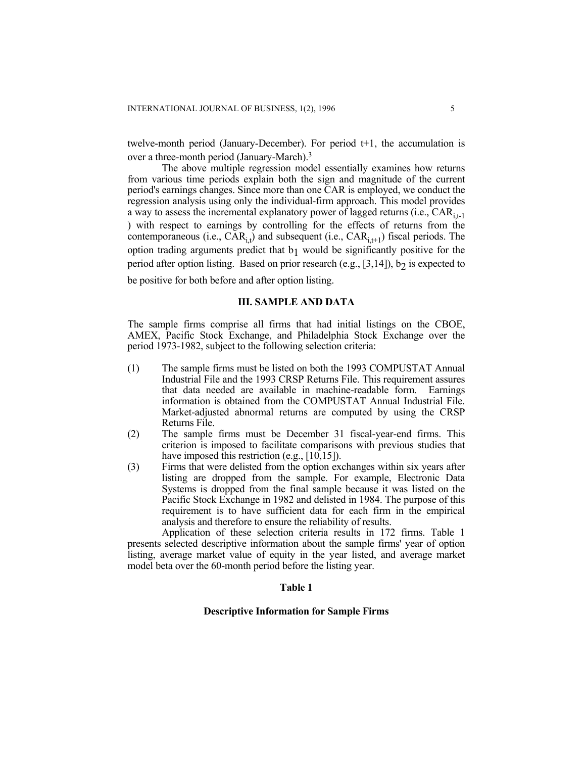twelve-month period (January-December). For period t+1, the accumulation is over a three-month period (January-March).3

The above multiple regression model essentially examines how returns from various time periods explain both the sign and magnitude of the current period's earnings changes. Since more than one CAR is employed, we conduct the regression analysis using only the individual-firm approach. This model provides a way to assess the incremental explanatory power of lagged returns (i.e.,  $CAR_{i+1}$ ) ) with respect to earnings by controlling for the effects of returns from the contemporaneous (i.e.,  $\overrightarrow{CAR}_{i}$ ) and subsequent (i.e.,  $\overrightarrow{CAR}_{i+1}$ ) fiscal periods. The option trading arguments predict that  $b_1$  would be significantly positive for the period after option listing. Based on prior research (e.g.,  $[3,14]$ ), b<sub>2</sub> is expected to be positive for both before and after option listing.

#### **III. SAMPLE AND DATA**

The sample firms comprise all firms that had initial listings on the CBOE, AMEX, Pacific Stock Exchange, and Philadelphia Stock Exchange over the period 1973-1982, subject to the following selection criteria:

- (1) The sample firms must be listed on both the 1993 COMPUSTAT Annual Industrial File and the 1993 CRSP Returns File. This requirement assures that data needed are available in machine-readable form. Earnings information is obtained from the COMPUSTAT Annual Industrial File. Market-adjusted abnormal returns are computed by using the CRSP Returns File.
- (2) The sample firms must be December 31 fiscal-year-end firms. This criterion is imposed to facilitate comparisons with previous studies that have imposed this restriction (e.g., [10,15]).
- (3) Firms that were delisted from the option exchanges within six years after listing are dropped from the sample. For example, Electronic Data Systems is dropped from the final sample because it was listed on the Pacific Stock Exchange in 1982 and delisted in 1984. The purpose of this requirement is to have sufficient data for each firm in the empirical analysis and therefore to ensure the reliability of results.

Application of these selection criteria results in 172 firms. Table 1 presents selected descriptive information about the sample firms' year of option listing, average market value of equity in the year listed, and average market model beta over the 60-month period before the listing year.

#### **Table 1**

### **Descriptive Information for Sample Firms**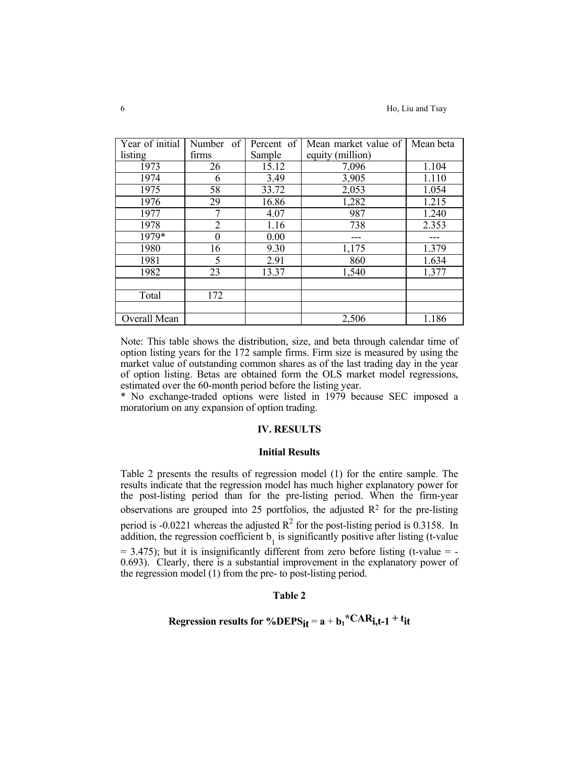| Year of initial | of<br>Number     | Percent of | Mean market value of | Mean beta |
|-----------------|------------------|------------|----------------------|-----------|
| listing         | firms            | Sample     | equity (million)     |           |
| 1973            | 26               | 15.12      | 7,096                | 1.104     |
| 1974            | 6                | 3.49       | 3,905                | 1.110     |
| 1975            | 58               | 33.72      | 2,053                | 1.054     |
| 1976            | 29               | 16.86      | 1,282                | 1.215     |
| 1977            | 7                | 4.07       | 987                  | 1.240     |
| 1978            | 2                | 1.16       | 738                  | 2.353     |
| 1979*           | $\boldsymbol{0}$ | 0.00       |                      |           |
| 1980            | 16               | 9.30       | 1,175                | 1.379     |
| 1981            | 5                | 2.91       | 860                  | 1.634     |
| 1982            | 23               | 13.37      | 1,540                | 1.377     |
|                 |                  |            |                      |           |
| Total           | 172              |            |                      |           |
|                 |                  |            |                      |           |
| Overall Mean    |                  |            | 2,506                | 1.186     |

Note: This table shows the distribution, size, and beta through calendar time of option listing years for the 172 sample firms. Firm size is measured by using the market value of outstanding common shares as of the last trading day in the year of option listing. Betas are obtained form the OLS market model regressions, estimated over the 60-month period before the listing year.

\* No exchange-traded options were listed in 1979 because SEC imposed a moratorium on any expansion of option trading.

#### **IV. RESULTS**

#### **Initial Results**

Table 2 presents the results of regression model (1) for the entire sample. The results indicate that the regression model has much higher explanatory power for the post-listing period than for the pre-listing period. When the firm-year observations are grouped into 25 portfolios, the adjusted  $\mathbb{R}^2$  for the pre-listing period is -0.0221 whereas the adjusted  $R^2$  for the post-listing period is 0.3158. In addition, the regression coefficient  $b_1$  is significantly positive after listing (t-value  $= 3.475$ ); but it is insignificantly different from zero before listing (t-value  $= -1$ 0.693). Clearly, there is a substantial improvement in the explanatory power of the regression model (1) from the pre- to post-listing period.

# **Table 2**

# **Regression results for %DEPS<sub>it</sub>** =  $a + b_1$ <sup>\*</sup>CAR<sub>i,t-1</sub> + t<sub>it</sub>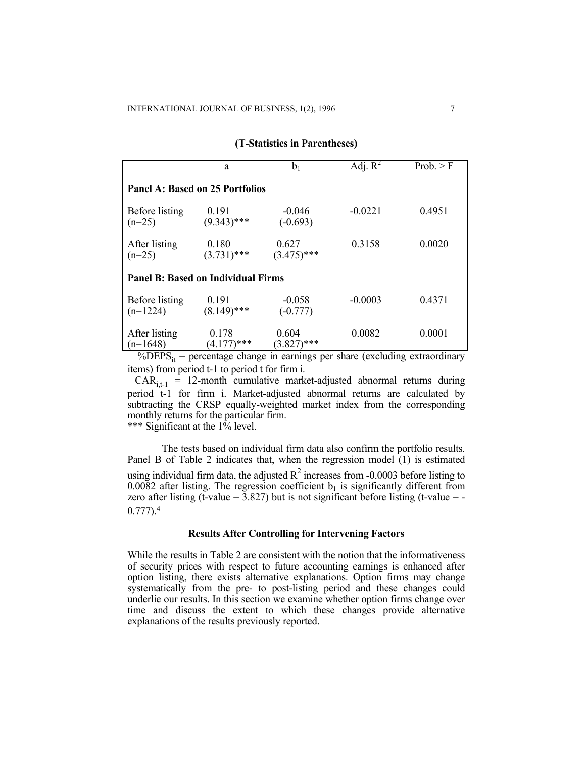|                                           | a                      | $b_1$                  | Adj. $R^2$ | Prob. > F |  |  |  |
|-------------------------------------------|------------------------|------------------------|------------|-----------|--|--|--|
| <b>Panel A: Based on 25 Portfolios</b>    |                        |                        |            |           |  |  |  |
| <b>Before</b> listing<br>$(n=25)$         | 0.191<br>$(9.343)$ *** | $-0.046$<br>$(-0.693)$ | $-0.0221$  | 0.4951    |  |  |  |
| After listing<br>$(n=25)$                 | 0.180<br>$(3.731)$ *** | 0.627<br>$(3.475)$ *** | 0.3158     | 0.0020    |  |  |  |
| <b>Panel B: Based on Individual Firms</b> |                        |                        |            |           |  |  |  |
| Before listing<br>$(n=1224)$              | 0.191<br>$(8.149)$ *** | $-0.058$<br>$(-0.777)$ | $-0.0003$  | 0.4371    |  |  |  |
| After listing<br>$(n=1648)$               | 0.178<br>$(4.177)$ *** | 0.604<br>\***<br>3.827 | 0.0082     | 0.0001    |  |  |  |

#### **(T-Statistics in Parentheses)**

 $\%$ DEPS<sub>it</sub> = percentage change in earnings per share (excluding extraordinary items) from period t-1 to period t for firm i.

 $CAR_{i,t-1}$  = 12-month cumulative market-adjusted abnormal returns during period t-1 for firm i. Market-adjusted abnormal returns are calculated by subtracting the CRSP equally-weighted market index from the corresponding monthly returns for the particular firm.

\*\*\* Significant at the 1% level.

The tests based on individual firm data also confirm the portfolio results. Panel B of Table 2 indicates that, when the regression model (1) is estimated using individual firm data, the adjusted  $R^2$  increases from -0.0003 before listing to  $0.0082$  after listing. The regression coefficient  $b<sub>1</sub>$  is significantly different from zero after listing (t-value =  $3.827$ ) but is not significant before listing (t-value = -0.777).4

## **Results After Controlling for Intervening Factors**

While the results in Table 2 are consistent with the notion that the informativeness of security prices with respect to future accounting earnings is enhanced after option listing, there exists alternative explanations. Option firms may change systematically from the pre- to post-listing period and these changes could underlie our results. In this section we examine whether option firms change over time and discuss the extent to which these changes provide alternative explanations of the results previously reported.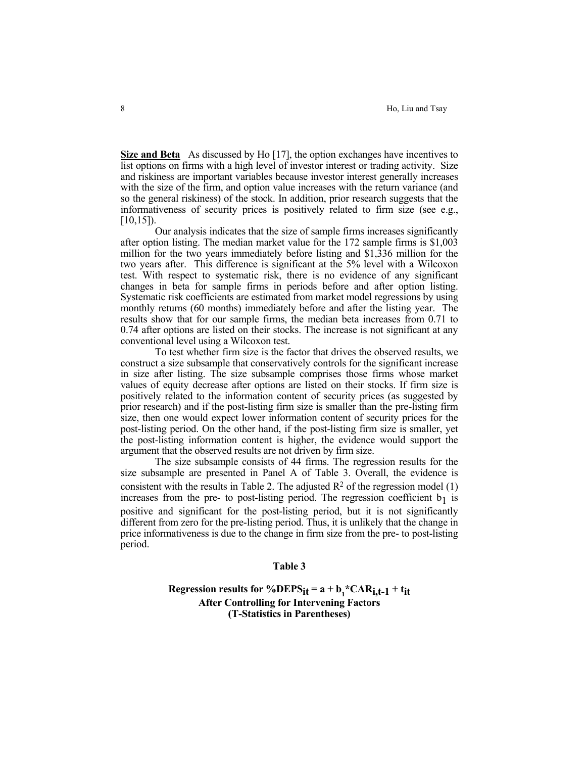**Size and Beta** As discussed by Ho [17], the option exchanges have incentives to list options on firms with a high level of investor interest or trading activity. Size and riskiness are important variables because investor interest generally increases with the size of the firm, and option value increases with the return variance (and so the general riskiness) of the stock. In addition, prior research suggests that the informativeness of security prices is positively related to firm size (see e.g., [10,15]).

 Our analysis indicates that the size of sample firms increases significantly after option listing. The median market value for the 172 sample firms is \$1,003 million for the two years immediately before listing and \$1,336 million for the two years after. This difference is significant at the 5% level with a Wilcoxon test. With respect to systematic risk, there is no evidence of any significant changes in beta for sample firms in periods before and after option listing. Systematic risk coefficients are estimated from market model regressions by using monthly returns (60 months) immediately before and after the listing year. The results show that for our sample firms, the median beta increases from 0.71 to 0.74 after options are listed on their stocks. The increase is not significant at any conventional level using a Wilcoxon test.

 To test whether firm size is the factor that drives the observed results, we construct a size subsample that conservatively controls for the significant increase in size after listing. The size subsample comprises those firms whose market values of equity decrease after options are listed on their stocks. If firm size is positively related to the information content of security prices (as suggested by prior research) and if the post-listing firm size is smaller than the pre-listing firm size, then one would expect lower information content of security prices for the post-listing period. On the other hand, if the post-listing firm size is smaller, yet the post-listing information content is higher, the evidence would support the argument that the observed results are not driven by firm size.

 The size subsample consists of 44 firms. The regression results for the size subsample are presented in Panel A of Table 3. Overall, the evidence is consistent with the results in Table 2. The adjusted  $\mathbb{R}^2$  of the regression model (1) increases from the pre- to post-listing period. The regression coefficient  $b_1$  is positive and significant for the post-listing period, but it is not significantly different from zero for the pre-listing period. Thus, it is unlikely that the change in price informativeness is due to the change in firm size from the pre- to post-listing period.

### **Table 3**

Regression results for %DEPS<sub>it</sub> =  $a + b_1$ \*CAR<sub>i,t-1</sub> + t<sub>it</sub> **After Controlling for Intervening Factors (T-Statistics in Parentheses)**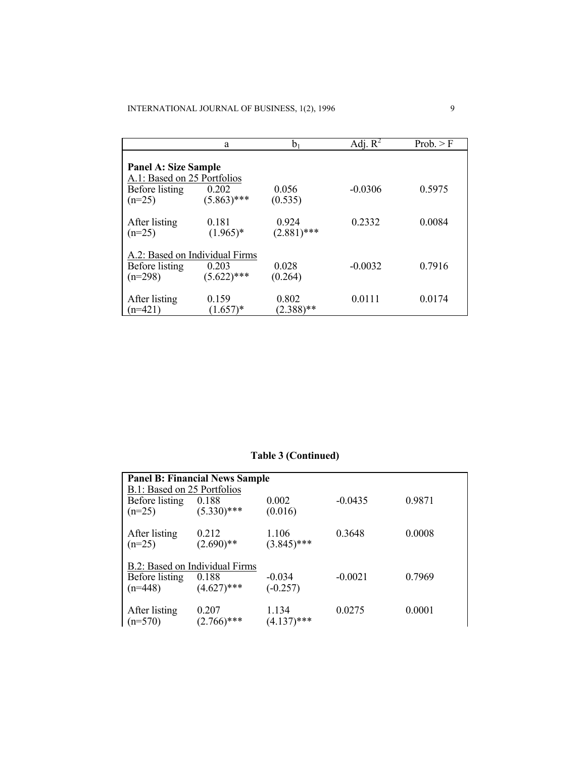|                                                            | a                                                        |                        | Adj. $R^2$ | Prob. > F |  |  |  |
|------------------------------------------------------------|----------------------------------------------------------|------------------------|------------|-----------|--|--|--|
| <b>Panel A: Size Sample</b><br>A.1: Based on 25 Portfolios |                                                          |                        |            |           |  |  |  |
| Before listing<br>$(n=25)$                                 | 0.202<br>$(5.863)$ ***                                   | 0.056<br>(0.535)       | $-0.0306$  | 0.5975    |  |  |  |
| After listing<br>$(n=25)$                                  | 0.181<br>$(1.965)^*$                                     | 0.924<br>$(2.881)$ *** | 0.2332     | 0.0084    |  |  |  |
| Before listing<br>$(n=298)$                                | A.2: Based on Individual Firms<br>0.203<br>$(5.622)$ *** | 0.028<br>(0.264)       | $-0.0032$  | 0.7916    |  |  |  |
| After listing<br>$(n=421)$                                 | 0.159<br>$(1.657)^*$                                     | 0.802<br>$(2.388)$ **  | 0.0111     | 0.0174    |  |  |  |

# **Table 3 (Continued)**

| <b>Panel B: Financial News Sample</b><br>B.1: Based on 25 Portfolios                    |                        |                        |           |        |  |  |
|-----------------------------------------------------------------------------------------|------------------------|------------------------|-----------|--------|--|--|
| Before listing<br>$(n=25)$                                                              | 0.188<br>$(5.330)$ *** | 0.002<br>(0.016)       | $-0.0435$ | 0.9871 |  |  |
| After listing<br>$(n=25)$                                                               | 0.212<br>$(2.690)$ **  | 1.106<br>$(3.845)$ *** | 0.3648    | 0.0008 |  |  |
| B.2: Based on Individual Firms<br>Before listing<br>0.188<br>$(4.627)$ ***<br>$(n=448)$ |                        | $-0.034$<br>$(-0.257)$ | $-0.0021$ | 0.7969 |  |  |
| After listing<br>$(n=570)$                                                              | 0.207<br>$(2.766)$ *** | 1.134<br>$(4.137)$ *** | 0.0275    | 0.0001 |  |  |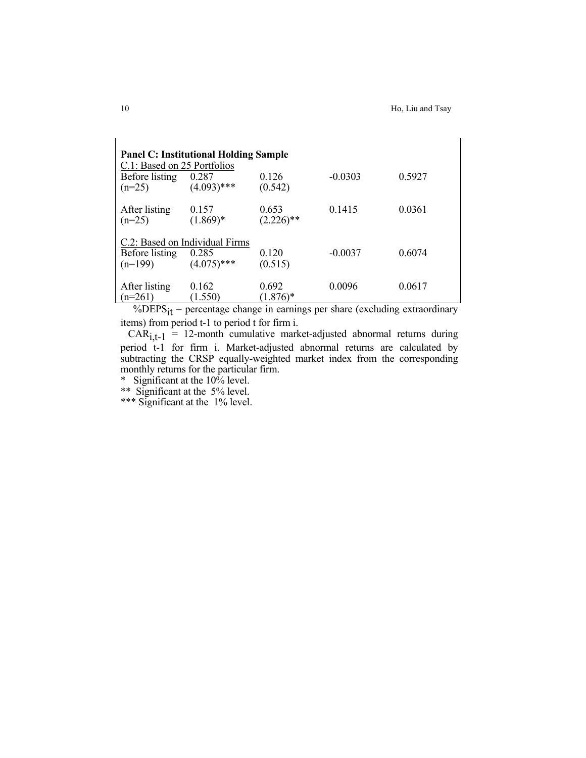| C.1: Based on 25 Portfolios<br>Before listing<br>$(n=25)$     | <b>Panel C: Institutional Holding Sample</b><br>0.287<br>$(4.093)$ *** | 0.126<br>(0.542)      | $-0.0303$ | 0.5927 |
|---------------------------------------------------------------|------------------------------------------------------------------------|-----------------------|-----------|--------|
| After listing<br>$(n=25)$                                     | 0.157<br>$(1.869)*$                                                    | 0.653<br>$(2.226)$ ** | 0.1415    | 0.0361 |
| C.2: Based on Individual Firms<br>Before listing<br>$(n=199)$ | 0.285<br>$(4.075)$ ***                                                 | 0.120<br>(0.515)      | $-0.0037$ | 0.6074 |
| After listing<br>$(n=261)$                                    | 0.162<br>1.550)                                                        | 0.692<br>$(1.876)*$   | 0.0096    | 0.0617 |

%DEPS $_{it}$  = percentage change in earnings per share (excluding extraordinary items) from period t-1 to period t for firm i.

 $CAR_{i,t-1} = 12$ -month cumulative market-adjusted abnormal returns during period t-1 for firm i. Market-adjusted abnormal returns are calculated by subtracting the CRSP equally-weighted market index from the corresponding monthly returns for the particular firm.

\* Significant at the 10% level.

\*\* Significant at the 5% level.

\*\*\* Significant at the 1% level.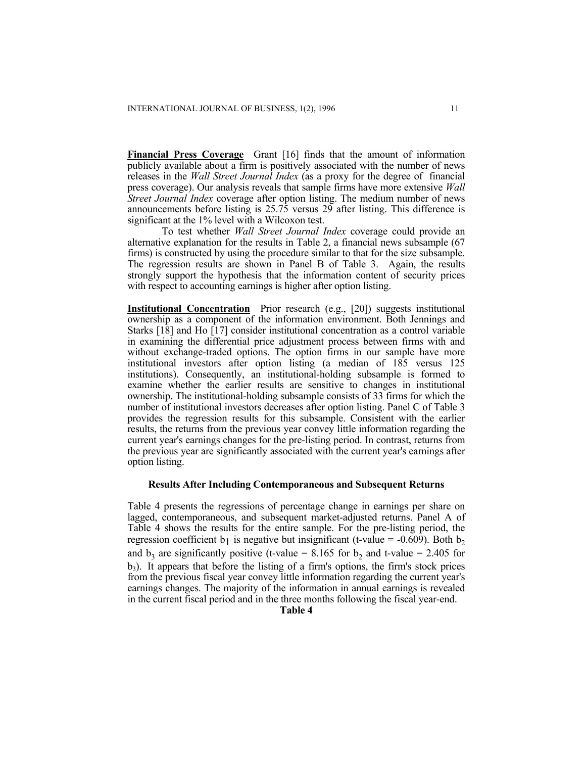**Financial Press Coverage** Grant [16] finds that the amount of information publicly available about a firm is positively associated with the number of news releases in the *Wall Street Journal Index* (as a proxy for the degree of financial press coverage). Our analysis reveals that sample firms have more extensive *Wall Street Journal Index* coverage after option listing. The medium number of news announcements before listing is 25.75 versus 29 after listing. This difference is significant at the 1% level with a Wilcoxon test.

To test whether *Wall Street Journal Index* coverage could provide an alternative explanation for the results in Table 2, a financial news subsample (67 firms) is constructed by using the procedure similar to that for the size subsample. The regression results are shown in Panel B of Table 3. Again, the results strongly support the hypothesis that the information content of security prices with respect to accounting earnings is higher after option listing.

**Institutional Concentration** Prior research (e.g., [20]) suggests institutional ownership as a component of the information environment. Both Jennings and Starks [18] and Ho [17] consider institutional concentration as a control variable in examining the differential price adjustment process between firms with and without exchange-traded options. The option firms in our sample have more institutional investors after option listing (a median of 185 versus 125 institutions). Consequently, an institutional-holding subsample is formed to examine whether the earlier results are sensitive to changes in institutional ownership. The institutional-holding subsample consists of 33 firms for which the number of institutional investors decreases after option listing. Panel C of Table 3 provides the regression results for this subsample. Consistent with the earlier results, the returns from the previous year convey little information regarding the current year's earnings changes for the pre-listing period. In contrast, returns from the previous year are significantly associated with the current year's earnings after option listing.

# **Results After Including Contemporaneous and Subsequent Returns**

Table 4 presents the regressions of percentage change in earnings per share on lagged, contemporaneous, and subsequent market-adjusted returns. Panel A of Table 4 shows the results for the entire sample. For the pre-listing period, the regression coefficient b<sub>1</sub> is negative but insignificant (t-value = -0.609). Both b<sub>2</sub> and  $b_3$  are significantly positive (t-value = 8.165 for b<sub>2</sub> and t-value = 2.405 for b3). It appears that before the listing of a firm's options, the firm's stock prices from the previous fiscal year convey little information regarding the current year's earnings changes. The majority of the information in annual earnings is revealed in the current fiscal period and in the three months following the fiscal year-end.

**Table 4**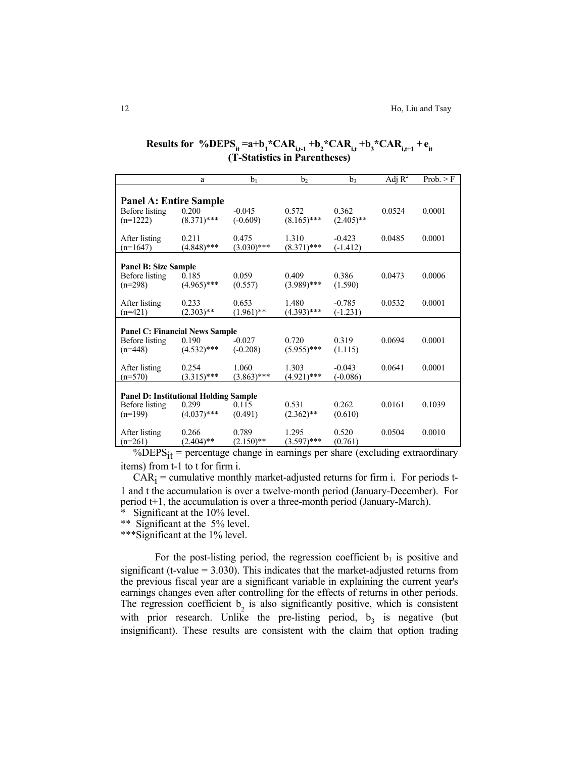|                                              | a                      | $b_1$            | b,                     | b3               | Adj $R^2$ | Prob. > F |  |
|----------------------------------------------|------------------------|------------------|------------------------|------------------|-----------|-----------|--|
|                                              |                        |                  |                        |                  |           |           |  |
| <b>Panel A: Entire Sample</b>                |                        |                  |                        |                  |           |           |  |
| Before listing                               | 0.200                  | $-0.045$         | 0.572                  | 0.362            | 0.0524    | 0.0001    |  |
| $(n=1222)$                                   | $(8.371)$ ***          | $(-0.609)$       | $(8.165)$ ***          | $(2.405)$ **     |           |           |  |
| After listing                                | 0.211                  | 0.475            | 1.310                  | $-0.423$         | 0.0485    | 0.0001    |  |
| $(n=1647)$                                   | $(4.848)$ ***          | $(3.030)$ ***    | $(8.371)$ ***          | $(-1.412)$       |           |           |  |
|                                              |                        |                  |                        |                  |           |           |  |
| <b>Panel B: Size Sample</b>                  |                        |                  |                        |                  |           |           |  |
| Before listing                               | 0.185<br>$(4.965)$ *** | 0.059<br>(0.557) | 0.409<br>$(3.989)$ *** | 0.386<br>(1.590) | 0.0473    | 0.0006    |  |
| $(n=298)$                                    |                        |                  |                        |                  |           |           |  |
| After listing                                | 0.233                  | 0.653            | 1.480                  | $-0.785$         | 0.0532    | 0.0001    |  |
| $(n=421)$                                    | $(2.303)$ **           | $(1.961)$ **     | $(4.393)$ ***          | $(-1.231)$       |           |           |  |
|                                              |                        |                  |                        |                  |           |           |  |
| <b>Panel C: Financial News Sample</b>        |                        |                  |                        |                  |           |           |  |
| Before listing                               | 0.190                  | $-0.027$         | 0.720                  | 0.319            | 0.0694    | 0.0001    |  |
| $(n=448)$                                    | $(4.532)$ ***          | $(-0.208)$       | $(5.955)$ ***          | (1.115)          |           |           |  |
| After listing                                | 0.254                  | 1.060            | 1.303                  | $-0.043$         | 0.0641    | 0.0001    |  |
| $(n=570)$                                    | $(3.315)$ ***          | $(3.863)$ ***    | $(4.921)$ ***          | $(-0.086)$       |           |           |  |
|                                              |                        |                  |                        |                  |           |           |  |
| <b>Panel D: Institutional Holding Sample</b> |                        |                  |                        |                  |           |           |  |
| Before listing                               | 0.299                  | 0.115            | 0.531                  | 0.262            | 0.0161    | 0.1039    |  |
| $(n=199)$                                    | $(4.037)$ ***          | (0.491)          | $(2.362)$ **           | (0.610)          |           |           |  |
| After listing                                | 0.266                  | 0.789            | 1.295                  | 0.520            | 0.0504    | 0.0010    |  |
| $(n=261)$                                    | $(2.404)$ **           | $(2.150)$ **     | $(3.597)$ ***          | (0.761)          |           |           |  |

# **Results for**  $\%$ **DEPS**<sub>it</sub>=a+b<sub>1</sub>\*CAR<sub>i,t-1</sub> +b<sub>2</sub>\*CAR<sub>i,t</sub>+b<sub>3</sub>\*CAR<sub>i,t+1</sub> +e<sub>it</sub> **(T-Statistics in Parentheses)**

%DEPS $_{it}$  = percentage change in earnings per share (excluding extraordinary items) from t-1 to t for firm i.

 $CAR_i =$  cumulative monthly market-adjusted returns for firm i. For periods t-1 and t the accumulation is over a twelve-month period (January-December). For period t+1, the accumulation is over a three-month period (January-March).

Significant at the 10% level.

\*\* Significant at the 5% level.

\*\*\*Significant at the 1% level.

For the post-listing period, the regression coefficient  $b_1$  is positive and significant (t-value  $= 3.030$ ). This indicates that the market-adjusted returns from the previous fiscal year are a significant variable in explaining the current year's earnings changes even after controlling for the effects of returns in other periods. The regression coefficient  $b_2$  is also significantly positive, which is consistent with prior research. Unlike the pre-listing period,  $b_3$  is negative (but insignificant). These results are consistent with the claim that option trading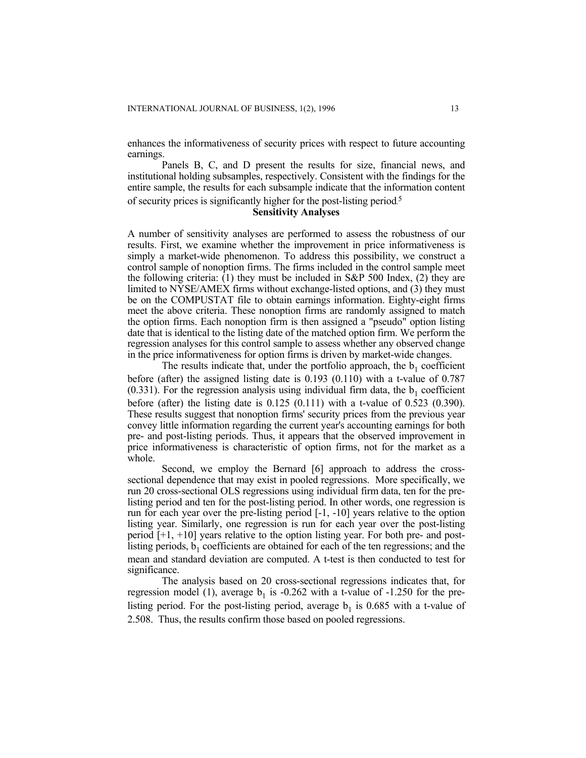enhances the informativeness of security prices with respect to future accounting earnings.

Panels B, C, and D present the results for size, financial news, and institutional holding subsamples, respectively. Consistent with the findings for the entire sample, the results for each subsample indicate that the information content

of security prices is significantly higher for the post-listing period. 5

# **Sensitivity Analyses**

A number of sensitivity analyses are performed to assess the robustness of our results. First, we examine whether the improvement in price informativeness is simply a market-wide phenomenon. To address this possibility, we construct a control sample of nonoption firms. The firms included in the control sample meet the following criteria: (1) they must be included in S&P 500 Index, (2) they are limited to NYSE/AMEX firms without exchange-listed options, and (3) they must be on the COMPUSTAT file to obtain earnings information. Eighty-eight firms meet the above criteria. These nonoption firms are randomly assigned to match the option firms. Each nonoption firm is then assigned a "pseudo" option listing date that is identical to the listing date of the matched option firm. We perform the regression analyses for this control sample to assess whether any observed change in the price informativeness for option firms is driven by market-wide changes.

The results indicate that, under the portfolio approach, the  $b_1$  coefficient before (after) the assigned listing date is 0.193 (0.110) with a t-value of 0.787 (0.331). For the regression analysis using individual firm data, the  $b_1$  coefficient before (after) the listing date is  $0.125$  ( $0.111$ ) with a t-value of  $0.523$  ( $0.390$ ). These results suggest that nonoption firms' security prices from the previous year convey little information regarding the current year's accounting earnings for both pre- and post-listing periods. Thus, it appears that the observed improvement in price informativeness is characteristic of option firms, not for the market as a whole.

Second, we employ the Bernard [6] approach to address the crosssectional dependence that may exist in pooled regressions. More specifically, we run 20 cross-sectional OLS regressions using individual firm data, ten for the prelisting period and ten for the post-listing period. In other words, one regression is run for each year over the pre-listing period [-1, -10] years relative to the option listing year. Similarly, one regression is run for each year over the post-listing period [+1, +10] years relative to the option listing year. For both pre- and postlisting periods,  $b_1$  coefficients are obtained for each of the ten regressions; and the mean and standard deviation are computed. A t-test is then conducted to test for significance.

The analysis based on 20 cross-sectional regressions indicates that, for regression model (1), average  $b_1$  is -0.262 with a t-value of -1.250 for the prelisting period. For the post-listing period, average  $b_1$  is 0.685 with a t-value of 2.508. Thus, the results confirm those based on pooled regressions.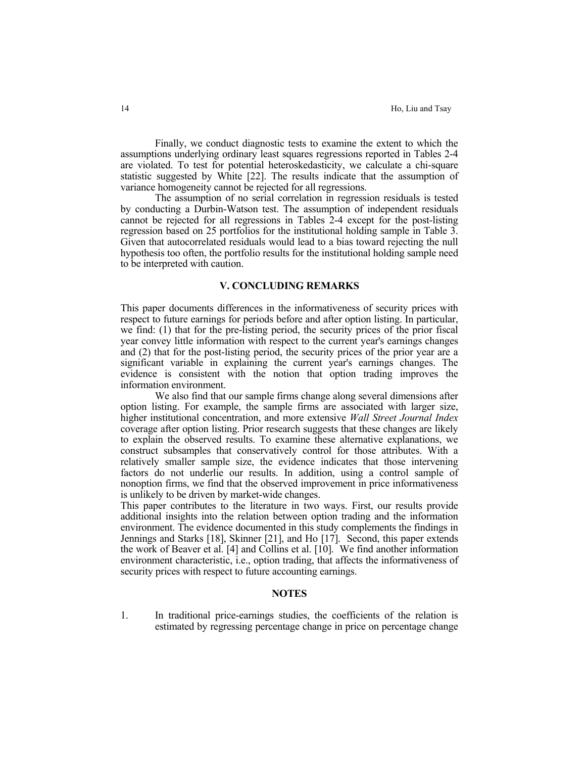Finally, we conduct diagnostic tests to examine the extent to which the assumptions underlying ordinary least squares regressions reported in Tables 2-4 are violated. To test for potential heteroskedasticity, we calculate a chi-square statistic suggested by White [22]. The results indicate that the assumption of variance homogeneity cannot be rejected for all regressions.

 The assumption of no serial correlation in regression residuals is tested by conducting a Durbin-Watson test. The assumption of independent residuals cannot be rejected for all regressions in Tables 2-4 except for the post-listing regression based on 25 portfolios for the institutional holding sample in Table 3. Given that autocorrelated residuals would lead to a bias toward rejecting the null hypothesis too often, the portfolio results for the institutional holding sample need to be interpreted with caution.

# **V. CONCLUDING REMARKS**

This paper documents differences in the informativeness of security prices with respect to future earnings for periods before and after option listing. In particular, we find: (1) that for the pre-listing period, the security prices of the prior fiscal year convey little information with respect to the current year's earnings changes and (2) that for the post-listing period, the security prices of the prior year are a significant variable in explaining the current year's earnings changes. The evidence is consistent with the notion that option trading improves the information environment.

 We also find that our sample firms change along several dimensions after option listing. For example, the sample firms are associated with larger size, higher institutional concentration, and more extensive *Wall Street Journal Index* coverage after option listing. Prior research suggests that these changes are likely to explain the observed results. To examine these alternative explanations, we construct subsamples that conservatively control for those attributes. With a relatively smaller sample size, the evidence indicates that those intervening factors do not underlie our results. In addition, using a control sample of nonoption firms, we find that the observed improvement in price informativeness is unlikely to be driven by market-wide changes.

This paper contributes to the literature in two ways. First, our results provide additional insights into the relation between option trading and the information environment. The evidence documented in this study complements the findings in Jennings and Starks [18], Skinner [21], and Ho [17]. Second, this paper extends the work of Beaver et al. [4] and Collins et al. [10]. We find another information environment characteristic, i.e., option trading, that affects the informativeness of security prices with respect to future accounting earnings.

## **NOTES**

1. In traditional price-earnings studies, the coefficients of the relation is estimated by regressing percentage change in price on percentage change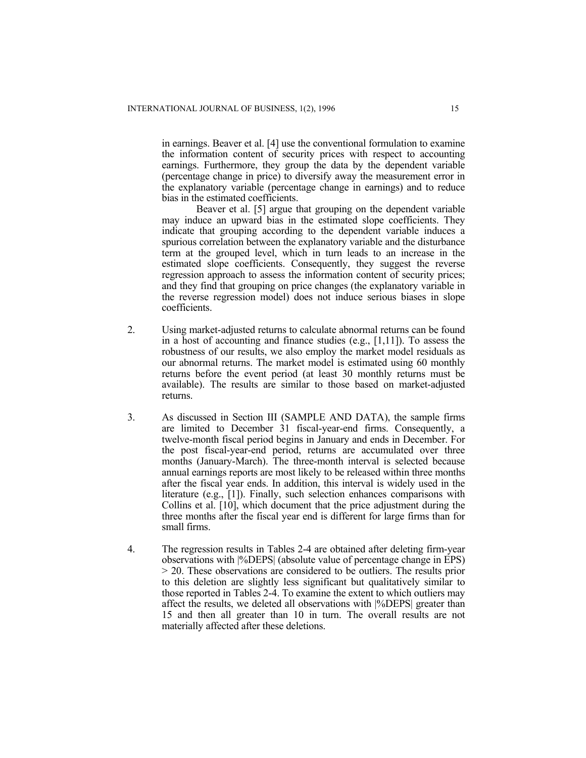in earnings. Beaver et al. [4] use the conventional formulation to examine the information content of security prices with respect to accounting earnings. Furthermore, they group the data by the dependent variable (percentage change in price) to diversify away the measurement error in the explanatory variable (percentage change in earnings) and to reduce bias in the estimated coefficients.

Beaver et al. [5] argue that grouping on the dependent variable may induce an upward bias in the estimated slope coefficients. They indicate that grouping according to the dependent variable induces a spurious correlation between the explanatory variable and the disturbance term at the grouped level, which in turn leads to an increase in the estimated slope coefficients. Consequently, they suggest the reverse regression approach to assess the information content of security prices; and they find that grouping on price changes (the explanatory variable in the reverse regression model) does not induce serious biases in slope coefficients.

- 2. Using market-adjusted returns to calculate abnormal returns can be found in a host of accounting and finance studies (e.g., [1,11]). To assess the robustness of our results, we also employ the market model residuals as our abnormal returns. The market model is estimated using 60 monthly returns before the event period (at least 30 monthly returns must be available). The results are similar to those based on market-adjusted returns.
- 3. As discussed in Section III (SAMPLE AND DATA), the sample firms are limited to December 31 fiscal-year-end firms. Consequently, a twelve-month fiscal period begins in January and ends in December. For the post fiscal-year-end period, returns are accumulated over three months (January-March). The three-month interval is selected because annual earnings reports are most likely to be released within three months after the fiscal year ends. In addition, this interval is widely used in the literature (e.g., [1]). Finally, such selection enhances comparisons with Collins et al. [10], which document that the price adjustment during the three months after the fiscal year end is different for large firms than for small firms.
- 4. The regression results in Tables 2-4 are obtained after deleting firm-year observations with |%DEPS| (absolute value of percentage change in EPS) > 20. These observations are considered to be outliers. The results prior to this deletion are slightly less significant but qualitatively similar to those reported in Tables 2-4. To examine the extent to which outliers may affect the results, we deleted all observations with |%DEPS| greater than 15 and then all greater than 10 in turn. The overall results are not materially affected after these deletions.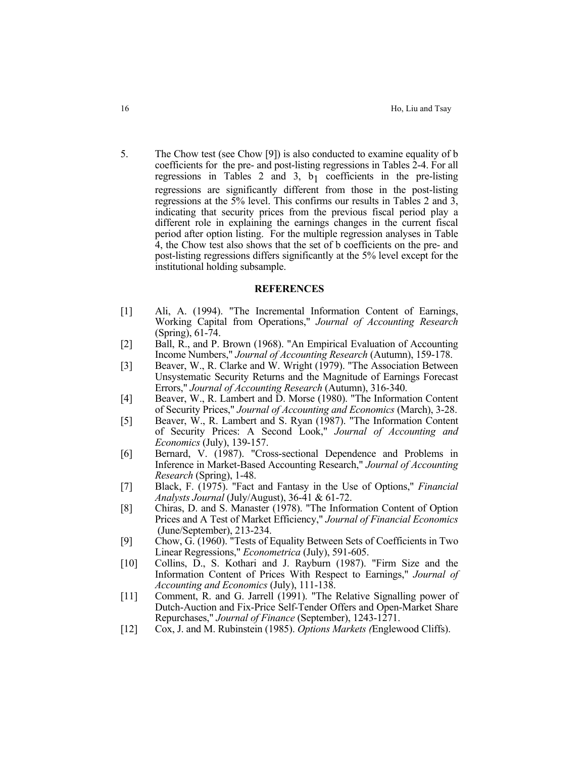5. The Chow test (see Chow [9]) is also conducted to examine equality of b coefficients for the pre- and post-listing regressions in Tables 2-4. For all regressions in Tables 2 and 3,  $b_1$  coefficients in the pre-listing regressions are significantly different from those in the post-listing regressions at the 5% level. This confirms our results in Tables 2 and 3, indicating that security prices from the previous fiscal period play a different role in explaining the earnings changes in the current fiscal period after option listing. For the multiple regression analyses in Table 4, the Chow test also shows that the set of b coefficients on the pre- and post-listing regressions differs significantly at the 5% level except for the institutional holding subsample.

## **REFERENCES**

- [1] Ali, A. (1994). "The Incremental Information Content of Earnings, Working Capital from Operations," *Journal of Accounting Research* (Spring), 61-74.
- [2] Ball, R., and P. Brown (1968). "An Empirical Evaluation of Accounting Income Numbers," *Journal of Accounting Research* (Autumn), 159-178.
- [3] Beaver, W., R. Clarke and W. Wright (1979). "The Association Between Unsystematic Security Returns and the Magnitude of Earnings Forecast Errors," *Journal of Accounting Research* (Autumn), 316-340.
- [4] Beaver, W., R. Lambert and D. Morse (1980). "The Information Content of Security Prices," *Journal of Accounting and Economics* (March), 3-28.
- [5] Beaver, W., R. Lambert and S. Ryan (1987). "The Information Content of Security Prices: A Second Look," *Journal of Accounting and Economics* (July), 139-157.
- [6] Bernard, V. (1987). "Cross-sectional Dependence and Problems in Inference in Market-Based Accounting Research," *Journal of Accounting Research* (Spring), 1-48.
- [7] Black, F. (1975). "Fact and Fantasy in the Use of Options," *Financial Analysts Journal* (July/August), 36-41 & 61-72.
- [8] Chiras, D. and S. Manaster (1978). "The Information Content of Option Prices and A Test of Market Efficiency," *Journal of Financial Economics* (June/September), 213-234.
- [9] Chow, G. (1960). "Tests of Equality Between Sets of Coefficients in Two Linear Regressions," *Econometrica* (July), 591-605.
- [10] Collins, D., S. Kothari and J. Rayburn (1987). "Firm Size and the Information Content of Prices With Respect to Earnings," *Journal of Accounting and Economics* (July), 111-138.
- [11] Comment, R. and G. Jarrell (1991). "The Relative Signalling power of Dutch-Auction and Fix-Price Self-Tender Offers and Open-Market Share Repurchases," *Journal of Finance* (September), 1243-1271.
- [12] Cox, J. and M. Rubinstein (1985). *Options Markets (*Englewood Cliffs).